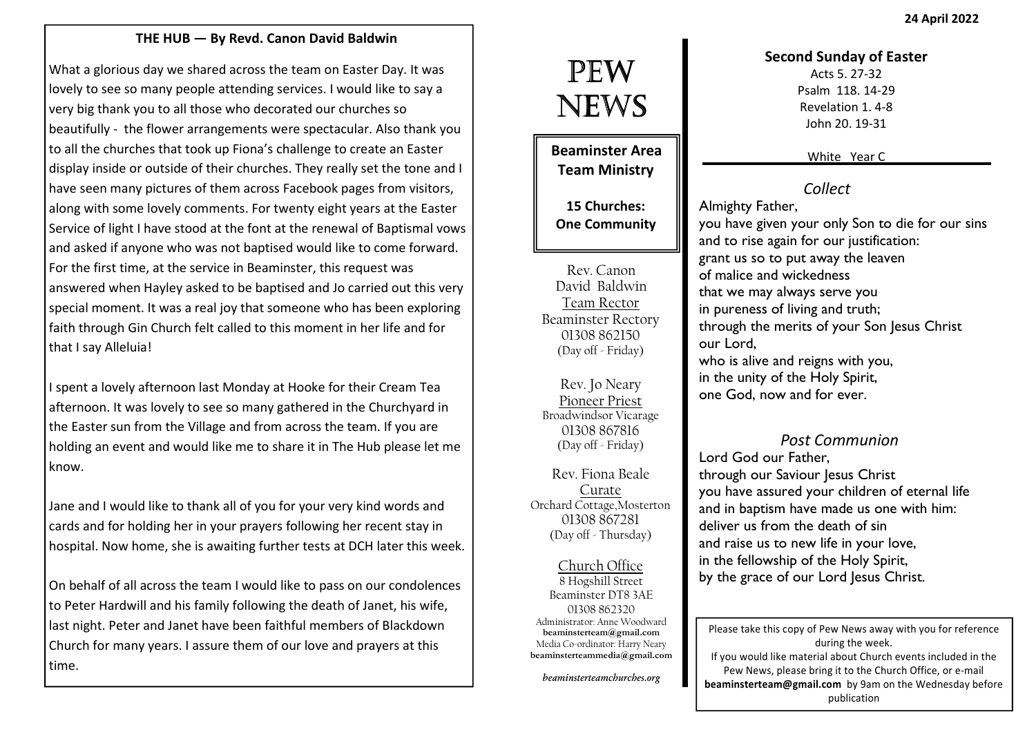## THE HUB — By Revd. Canon David Baldwin

What a glorious day we shared across the team on Easter Day. It was lovely to see so many people attending services. I would like to say a very big thank you to all those who decorated our churches so beautifully - the flower arrangements were spectacular. Also thank you to all the churches that took up Fiona's challenge to create an Easter display inside or outside of their churches. They really set the tone and I have seen many pictures of them across Facebook pages from visitors, along with some lovely comments. For twenty eight years at the Easter Service of light I have stood at the font at the renewal of Baptismal vows and asked if anyone who was not baptised would like to come forward. For the first time, at the service in Beaminster, this request was answered when Hayley asked to be baptised and Jo carried out this very special moment. It was a real joy that someone who has been exploring faith through Gin Church felt called to this moment in her life and for that I say Alleluia!

I spent a lovely afternoon last Monday at Hooke for their Cream Tea afternoon. It was lovely to see so many gathered in the Churchyard in the Easter sun from the Village and from across the team. If you are holding an event and would like me to share it in The Hub please let me know.

Jane and I would like to thank all of you for your very kind words and cards and for holding her in your prayers following her recent stay in hospital. Now home, she is awaiting further tests at DCH later this week.

On behalf of all across the team I would like to pass on our condolences to Peter Hardwill and his family following the death of Janet, his wife, last night. Peter and Janet have been faithful members of Blackdown Church for many years. I assure them of our love and prayers at this time.

# PEW NEWS

Beaminster Area Team Ministry

15 Churches: One Community

Rev. Canon David Baldwin Team Rector Beaminster Rectory 01308 862150 (Day off - Friday)

Rev. Jo Neary Pioneer Priest Broadwindsor Vicarage 01308 867816 (Day off - Friday)

Rev. Fiona Beale Curate Orchard Cottage,Mosterton 01308 867281(Day off - Thursday)

Church Office 8 Hogshill Street Beaminster DT8 3AE 01308 862320 Administrator: Anne Woodward beaminsterteam@gmail.com Media Co-ordinator: Harry Nearybeaminsterteammedia@gmail.com

beaminsterteamchurches.org

#### Second Sunday of Easter

Acts 5. 27-32 Psalm 118. 14-29 Revelation 1. 4-8 John 20. 19-31

White Year C

# Collect

Almighty Father, you have given your only Son to die for our sins and to rise again for our justification: grant us so to put away the leaven of malice and wickedness that we may always serve you in pureness of living and truth; through the merits of your Son Jesus Christ our Lord, who is alive and reigns with you, in the unity of the Holy Spirit, one God, now and for ever.

## Post Communion

Lord God our Father, through our Saviour Jesus Christ you have assured your children of eternal life and in baptism have made us one with him: deliver us from the death of sin and raise us to new life in your love, in the fellowship of the Holy Spirit, by the grace of our Lord Jesus Christ.

Please take this copy of Pew News away with you for reference during the week. If you would like material about Church events included in the Pew News, please bring it to the Church Office, or e-mail beaminsterteam@gmail.com by 9am on the Wednesday before publication